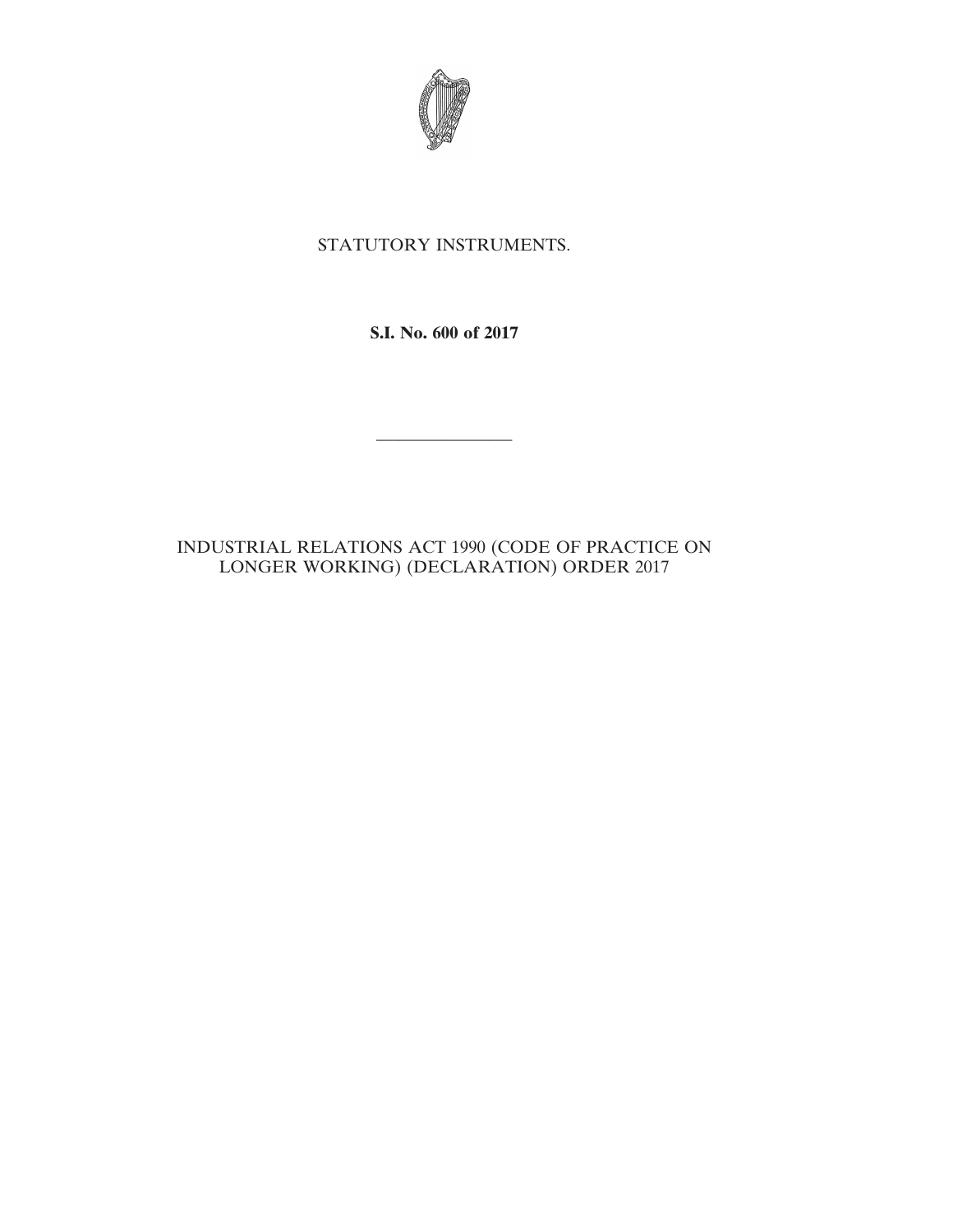

# STATUTORY INSTRUMENTS.

**S.I. No. 600 of 2017**

————————

# INDUSTRIAL RELATIONS ACT 1990 (CODE OF PRACTICE ON LONGER WORKING) (DECLARATION) ORDER 2017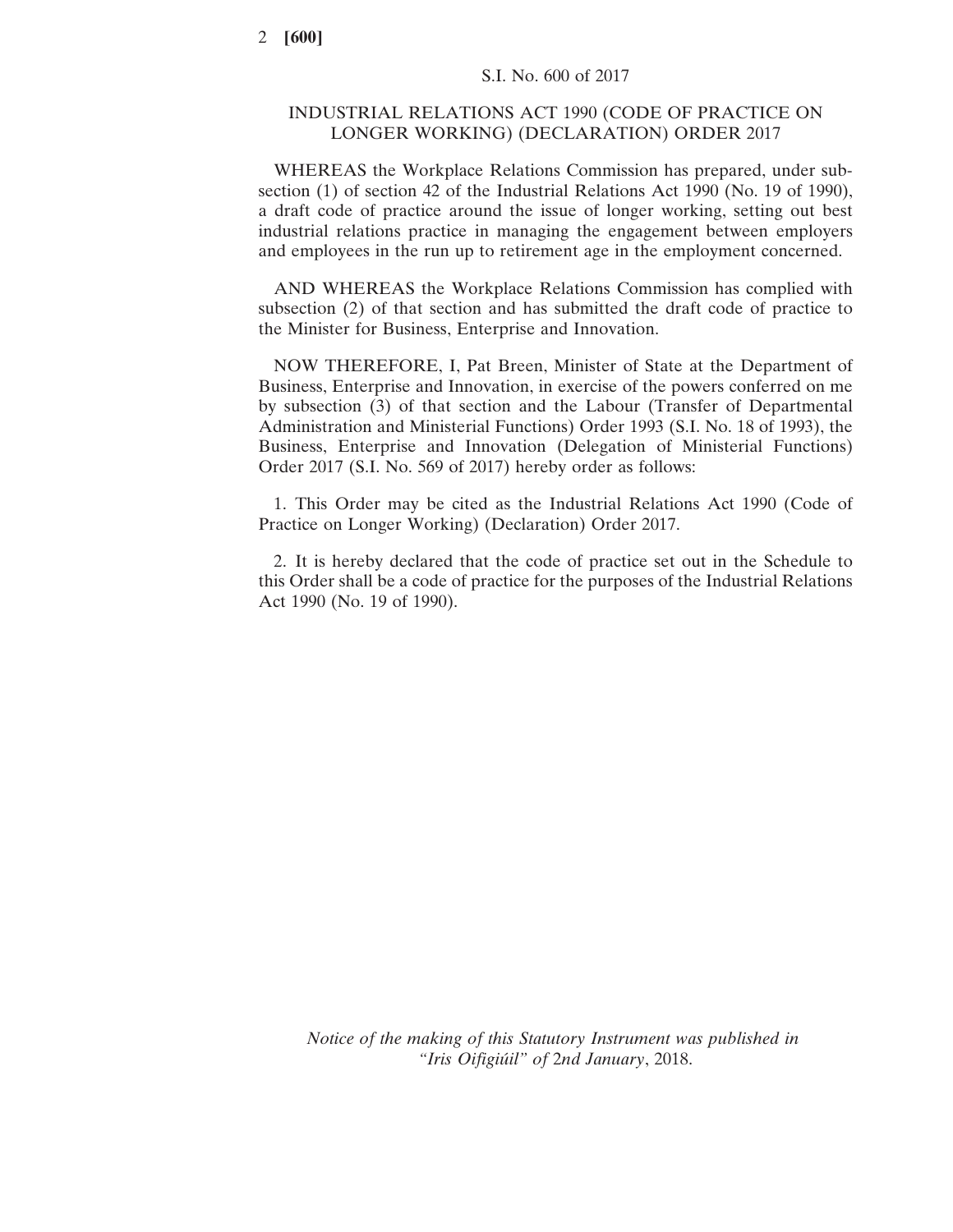#### INDUSTRIAL RELATIONS ACT 1990 (CODE OF PRACTICE ON LONGER WORKING) (DECLARATION) ORDER 2017

WHEREAS the Workplace Relations Commission has prepared, under subsection (1) of section 42 of the Industrial Relations Act 1990 (No. 19 of 1990), a draft code of practice around the issue of longer working, setting out best industrial relations practice in managing the engagement between employers and employees in the run up to retirement age in the employment concerned.

AND WHEREAS the Workplace Relations Commission has complied with subsection (2) of that section and has submitted the draft code of practice to the Minister for Business, Enterprise and Innovation.

NOW THEREFORE, I, Pat Breen, Minister of State at the Department of Business, Enterprise and Innovation, in exercise of the powers conferred on me by subsection (3) of that section and the Labour (Transfer of Departmental Administration and Ministerial Functions) Order 1993 (S.I. No. 18 of 1993), the Business, Enterprise and Innovation (Delegation of Ministerial Functions) Order 2017 (S.I. No. 569 of 2017) hereby order as follows:

1. This Order may be cited as the Industrial Relations Act 1990 (Code of Practice on Longer Working) (Declaration) Order 2017.

2. It is hereby declared that the code of practice set out in the Schedule to this Order shall be a code of practice for the purposes of the Industrial Relations Act 1990 (No. 19 of 1990).

*Notice of the making of this Statutory Instrument was published in "Iris Oifigiúil" of* 2*nd January*, 2018.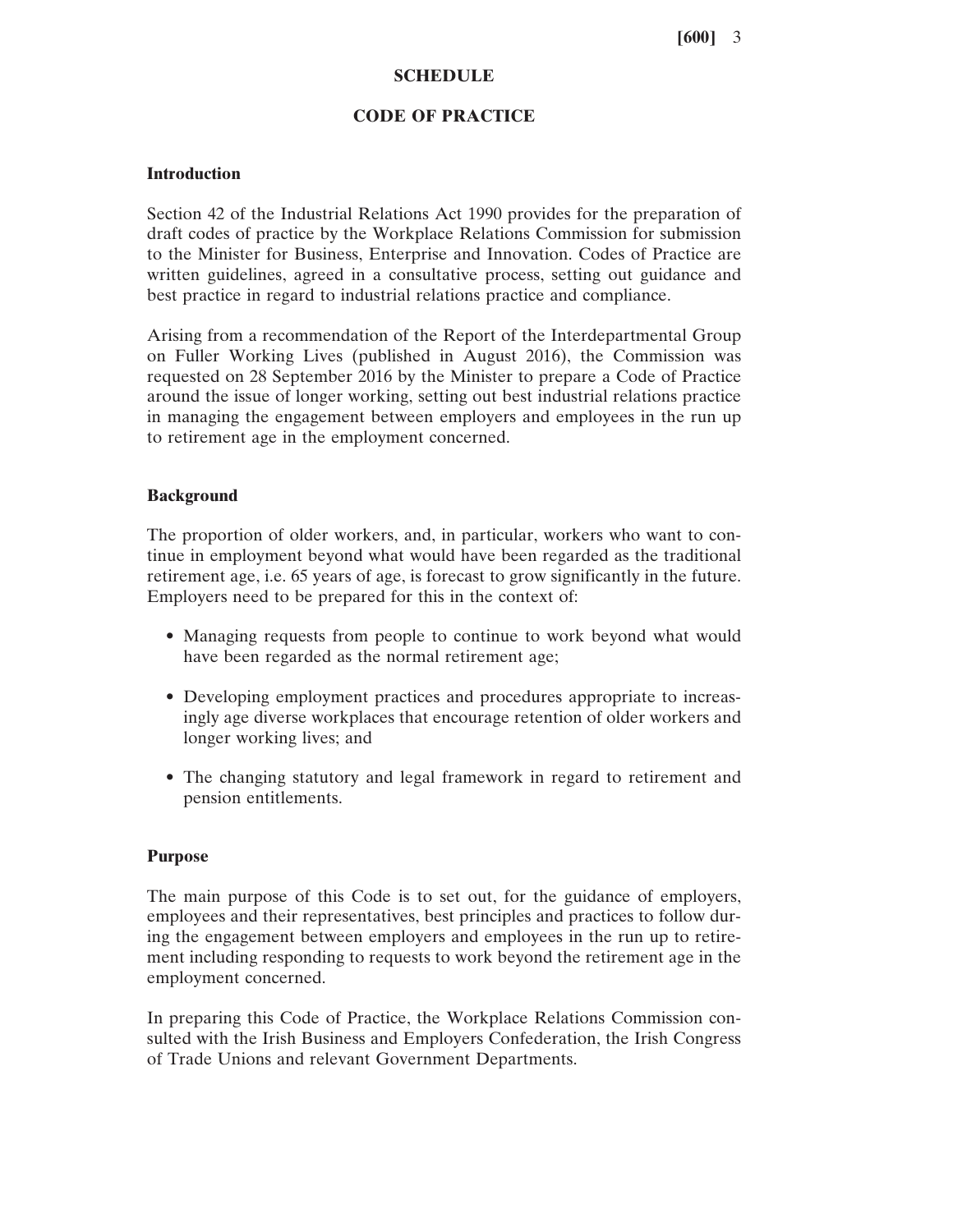#### **SCHEDULE**

### **CODE OF PRACTICE**

#### **Introduction**

Section 42 of the Industrial Relations Act 1990 provides for the preparation of draft codes of practice by the Workplace Relations Commission for submission to the Minister for Business, Enterprise and Innovation. Codes of Practice are written guidelines, agreed in a consultative process, setting out guidance and best practice in regard to industrial relations practice and compliance.

Arising from a recommendation of the Report of the Interdepartmental Group on Fuller Working Lives (published in August 2016), the Commission was requested on 28 September 2016 by the Minister to prepare a Code of Practice around the issue of longer working, setting out best industrial relations practice in managing the engagement between employers and employees in the run up to retirement age in the employment concerned.

#### **Background**

The proportion of older workers, and, in particular, workers who want to continue in employment beyond what would have been regarded as the traditional retirement age, i.e. 65 years of age, is forecast to grow significantly in the future. Employers need to be prepared for this in the context of:

- Managing requests from people to continue to work beyond what would have been regarded as the normal retirement age;
- Developing employment practices and procedures appropriate to increasingly age diverse workplaces that encourage retention of older workers and longer working lives; and
- The changing statutory and legal framework in regard to retirement and pension entitlements.

#### **Purpose**

The main purpose of this Code is to set out, for the guidance of employers, employees and their representatives, best principles and practices to follow during the engagement between employers and employees in the run up to retirement including responding to requests to work beyond the retirement age in the employment concerned.

In preparing this Code of Practice, the Workplace Relations Commission consulted with the Irish Business and Employers Confederation, the Irish Congress of Trade Unions and relevant Government Departments.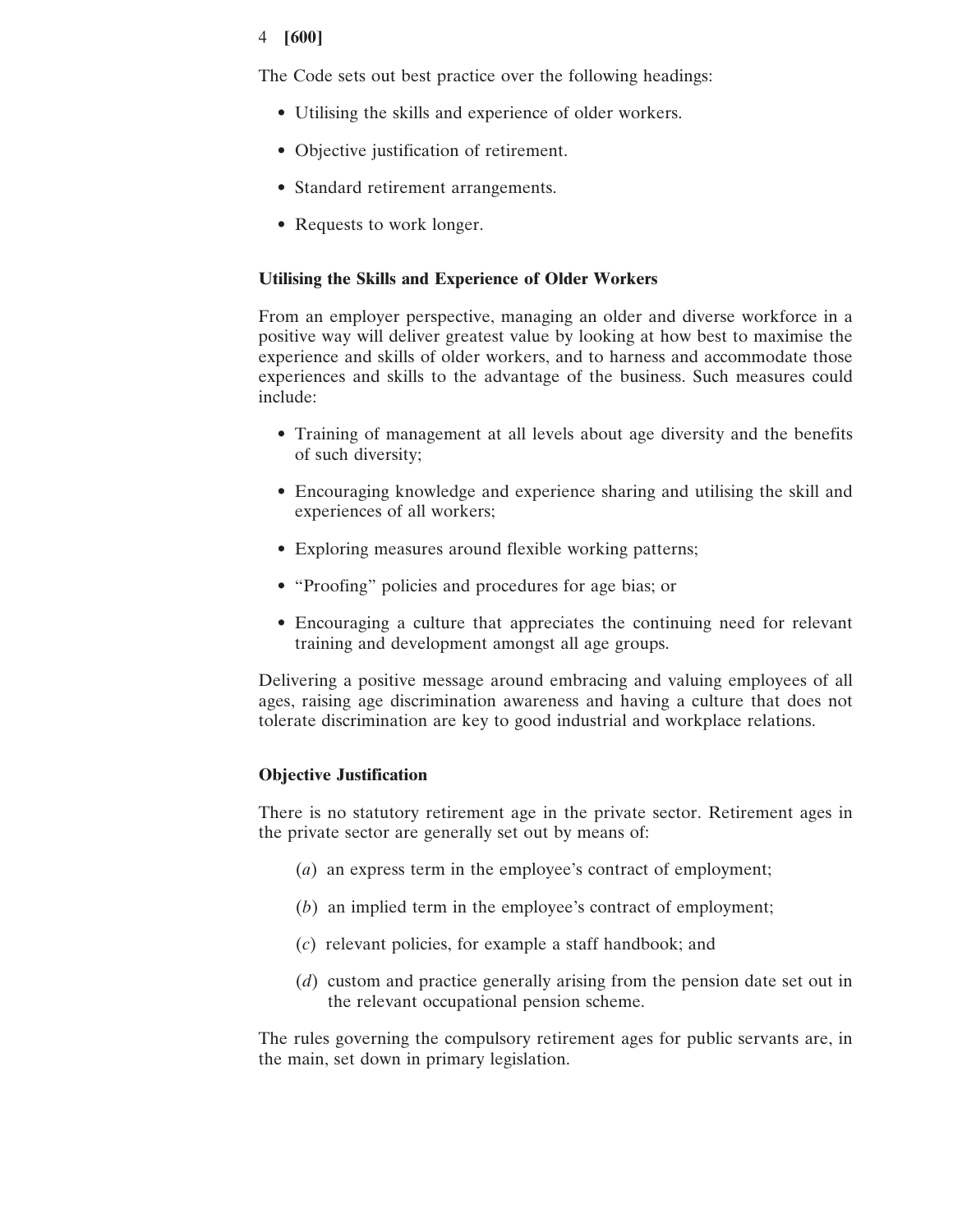The Code sets out best practice over the following headings:

- Utilising the skills and experience of older workers.
- Objective justification of retirement.
- Standard retirement arrangements.
- Requests to work longer.

#### **Utilising the Skills and Experience of Older Workers**

From an employer perspective, managing an older and diverse workforce in a positive way will deliver greatest value by looking at how best to maximise the experience and skills of older workers, and to harness and accommodate those experiences and skills to the advantage of the business. Such measures could include:

- Training of management at all levels about age diversity and the benefits of such diversity;
- Encouraging knowledge and experience sharing and utilising the skill and experiences of all workers;
- Exploring measures around flexible working patterns;
- "Proofing" policies and procedures for age bias; or
- Encouraging a culture that appreciates the continuing need for relevant training and development amongst all age groups.

Delivering a positive message around embracing and valuing employees of all ages, raising age discrimination awareness and having a culture that does not tolerate discrimination are key to good industrial and workplace relations.

## **Objective Justification**

There is no statutory retirement age in the private sector. Retirement ages in the private sector are generally set out by means of:

- (*a*) an express term in the employee's contract of employment;
- (*b*) an implied term in the employee's contract of employment;
- (*c*) relevant policies, for example a staff handbook; and
- (*d*) custom and practice generally arising from the pension date set out in the relevant occupational pension scheme.

The rules governing the compulsory retirement ages for public servants are, in the main, set down in primary legislation.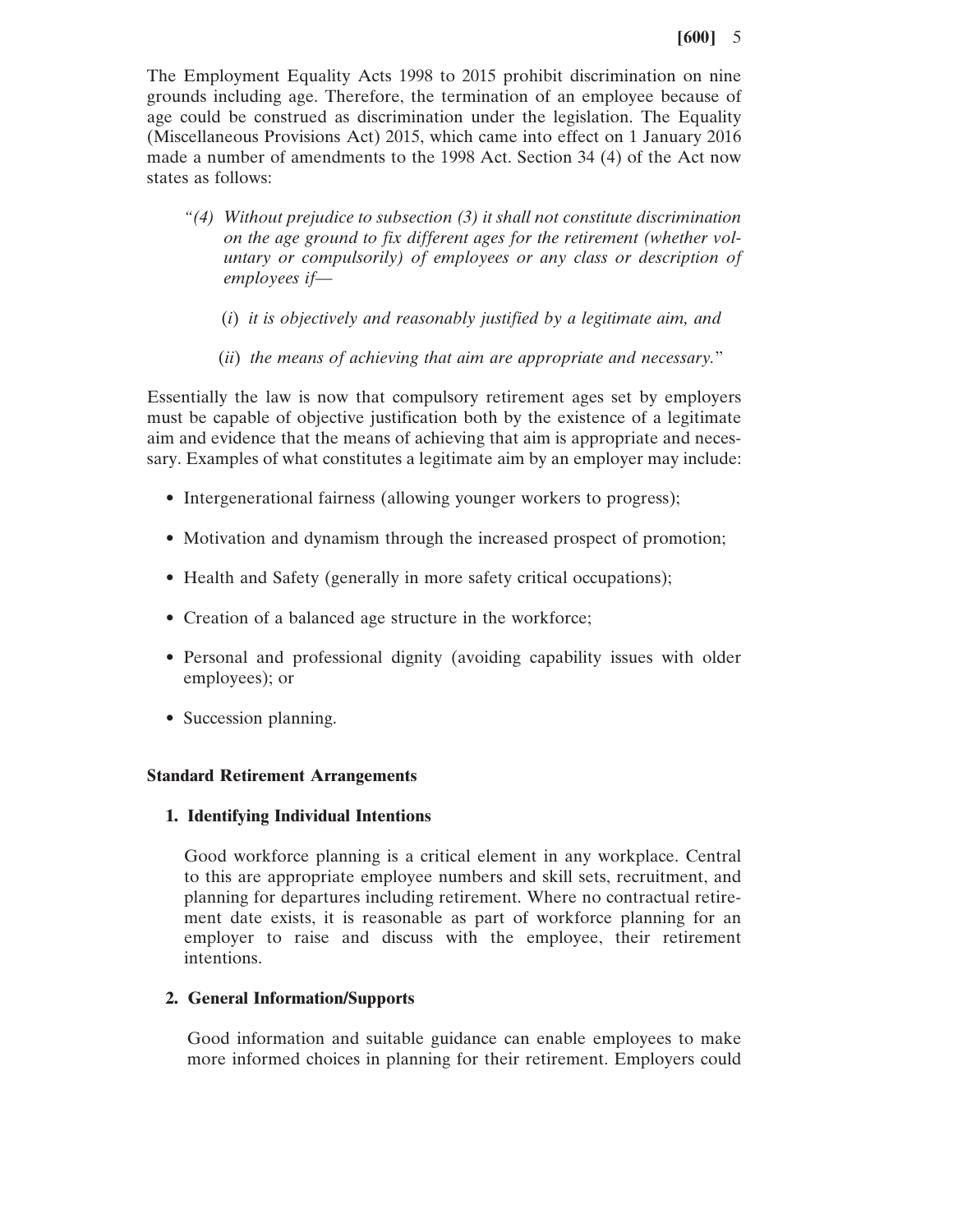The Employment Equality Acts 1998 to 2015 prohibit discrimination on nine grounds including age. Therefore, the termination of an employee because of age could be construed as discrimination under the legislation. The Equality (Miscellaneous Provisions Act) 2015, which came into effect on 1 January 2016 made a number of amendments to the 1998 Act. Section 34 (4) of the Act now states as follows:

- *"(4) Without prejudice to subsection (3) it shall not constitute discrimination on the age ground to fix different ages for the retirement (whether voluntary or compulsorily) of employees or any class or description of employees if*—
	- (*i*) *it is objectively and reasonably justified by a legitimate aim, and*
	- (*ii*) *the means of achieving that aim are appropriate and necessary.*"

Essentially the law is now that compulsory retirement ages set by employers must be capable of objective justification both by the existence of a legitimate aim and evidence that the means of achieving that aim is appropriate and necessary. Examples of what constitutes a legitimate aim by an employer may include:

- Intergenerational fairness (allowing younger workers to progress);
- Motivation and dynamism through the increased prospect of promotion;
- Health and Safety (generally in more safety critical occupations);
- Creation of a balanced age structure in the workforce;
- Personal and professional dignity (avoiding capability issues with older employees); or
- Succession planning.

## **Standard Retirement Arrangements**

## **1. Identifying Individual Intentions**

Good workforce planning is a critical element in any workplace. Central to this are appropriate employee numbers and skill sets, recruitment, and planning for departures including retirement. Where no contractual retirement date exists, it is reasonable as part of workforce planning for an employer to raise and discuss with the employee, their retirement intentions.

## **2. General Information/Supports**

Good information and suitable guidance can enable employees to make more informed choices in planning for their retirement. Employers could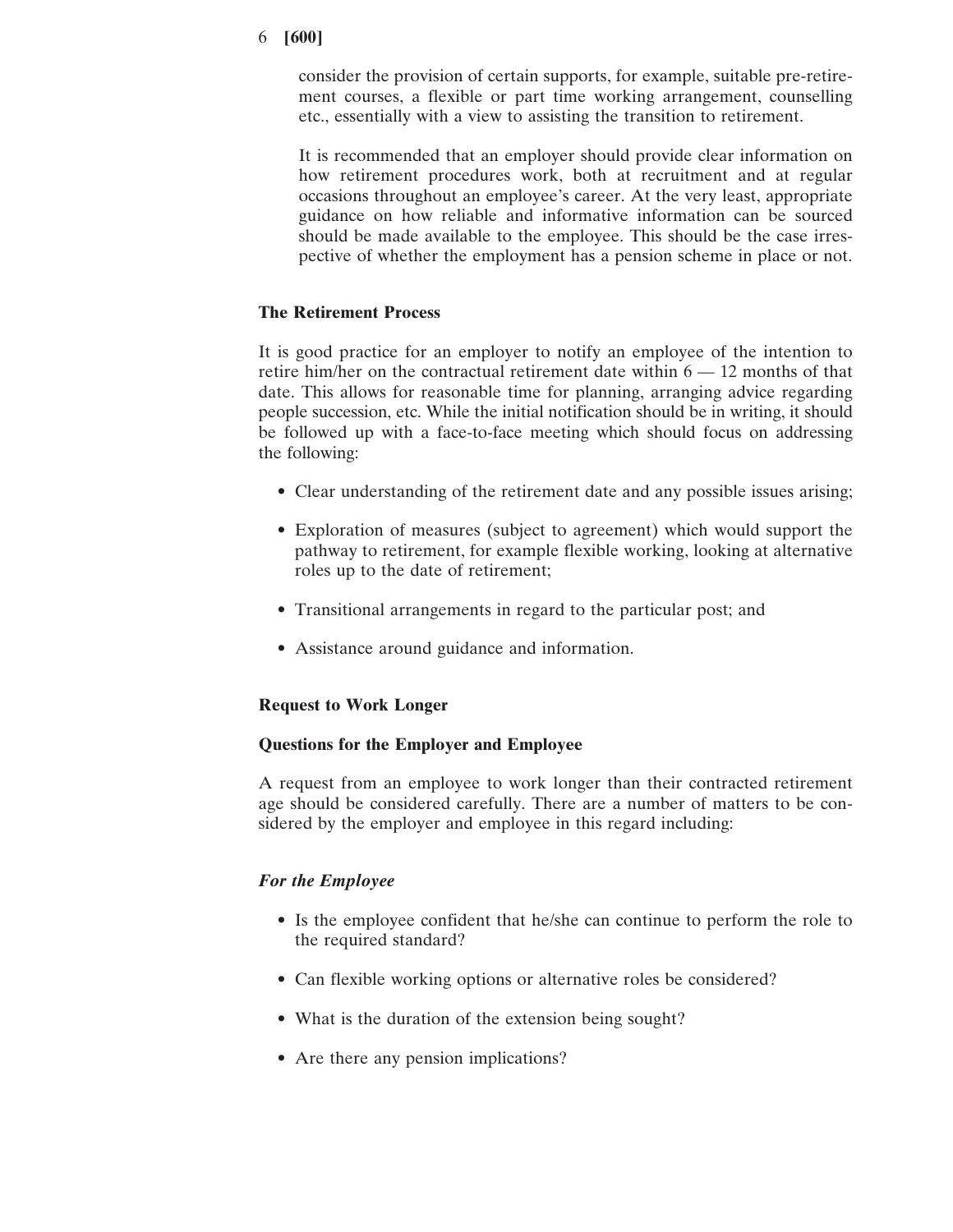consider the provision of certain supports, for example, suitable pre-retirement courses, a flexible or part time working arrangement, counselling etc., essentially with a view to assisting the transition to retirement.

It is recommended that an employer should provide clear information on how retirement procedures work, both at recruitment and at regular occasions throughout an employee's career. At the very least, appropriate guidance on how reliable and informative information can be sourced should be made available to the employee. This should be the case irrespective of whether the employment has a pension scheme in place or not.

## **The Retirement Process**

It is good practice for an employer to notify an employee of the intention to retire him/her on the contractual retirement date within 6 — 12 months of that date. This allows for reasonable time for planning, arranging advice regarding people succession, etc. While the initial notification should be in writing, it should be followed up with a face-to-face meeting which should focus on addressing the following:

- Clear understanding of the retirement date and any possible issues arising;
- Exploration of measures (subject to agreement) which would support the pathway to retirement, for example flexible working, looking at alternative roles up to the date of retirement;
- Transitional arrangements in regard to the particular post; and
- Assistance around guidance and information.

## **Request to Work Longer**

## **Questions for the Employer and Employee**

A request from an employee to work longer than their contracted retirement age should be considered carefully. There are a number of matters to be considered by the employer and employee in this regard including:

## *For the Employee*

- Is the employee confident that he/she can continue to perform the role to the required standard?
- Can flexible working options or alternative roles be considered?
- What is the duration of the extension being sought?
- Are there any pension implications?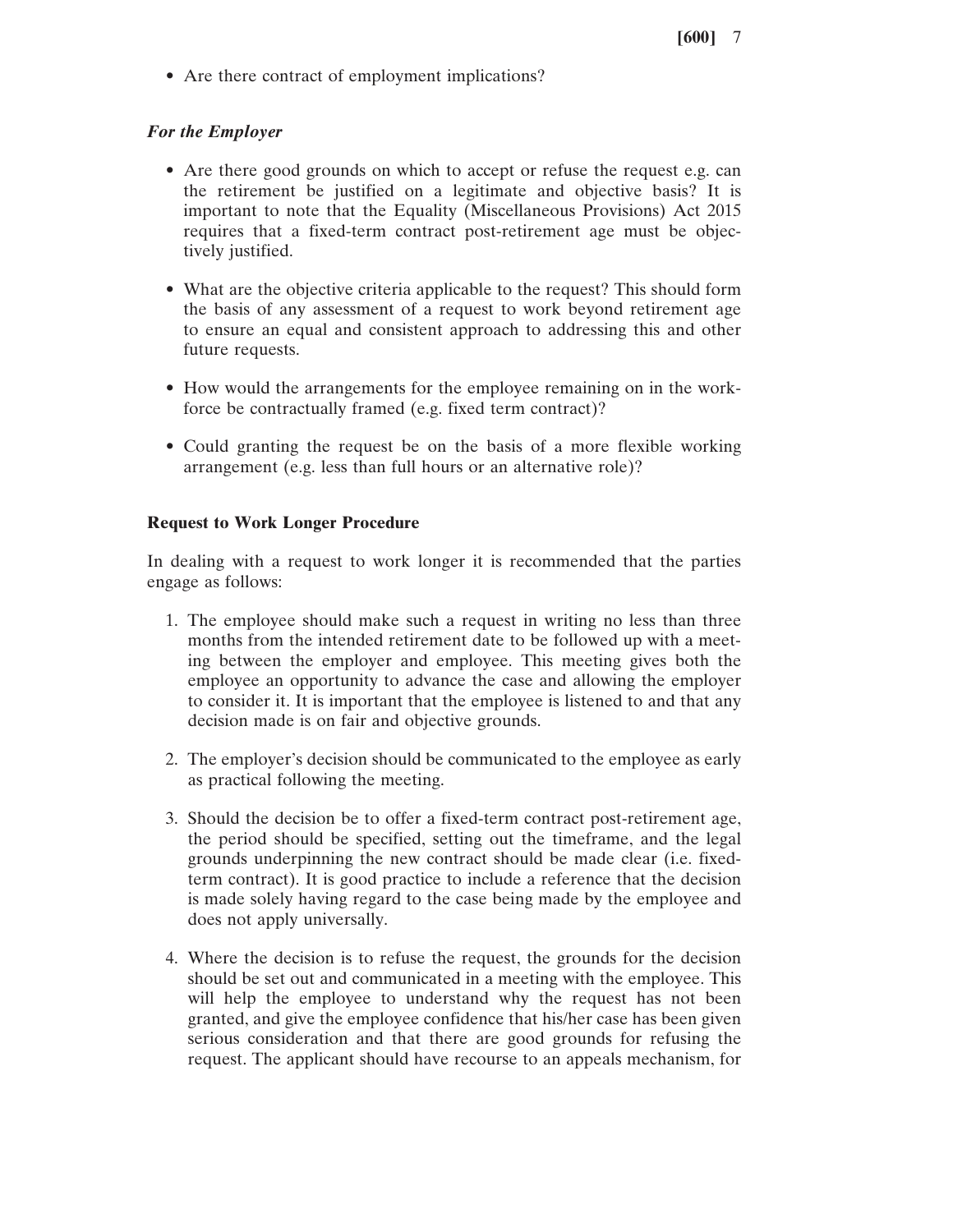• Are there contract of employment implications?

## *For the Employer*

- Are there good grounds on which to accept or refuse the request e.g. can the retirement be justified on a legitimate and objective basis? It is important to note that the Equality (Miscellaneous Provisions) Act 2015 requires that a fixed-term contract post-retirement age must be objectively justified.
- What are the objective criteria applicable to the request? This should form the basis of any assessment of a request to work beyond retirement age to ensure an equal and consistent approach to addressing this and other future requests.
- How would the arrangements for the employee remaining on in the workforce be contractually framed (e.g. fixed term contract)?
- Could granting the request be on the basis of a more flexible working arrangement (e.g. less than full hours or an alternative role)?

## **Request to Work Longer Procedure**

In dealing with a request to work longer it is recommended that the parties engage as follows:

- 1. The employee should make such a request in writing no less than three months from the intended retirement date to be followed up with a meeting between the employer and employee. This meeting gives both the employee an opportunity to advance the case and allowing the employer to consider it. It is important that the employee is listened to and that any decision made is on fair and objective grounds.
- 2. The employer's decision should be communicated to the employee as early as practical following the meeting.
- 3. Should the decision be to offer a fixed-term contract post-retirement age, the period should be specified, setting out the timeframe, and the legal grounds underpinning the new contract should be made clear (i.e. fixedterm contract). It is good practice to include a reference that the decision is made solely having regard to the case being made by the employee and does not apply universally.
- 4. Where the decision is to refuse the request, the grounds for the decision should be set out and communicated in a meeting with the employee. This will help the employee to understand why the request has not been granted, and give the employee confidence that his/her case has been given serious consideration and that there are good grounds for refusing the request. The applicant should have recourse to an appeals mechanism, for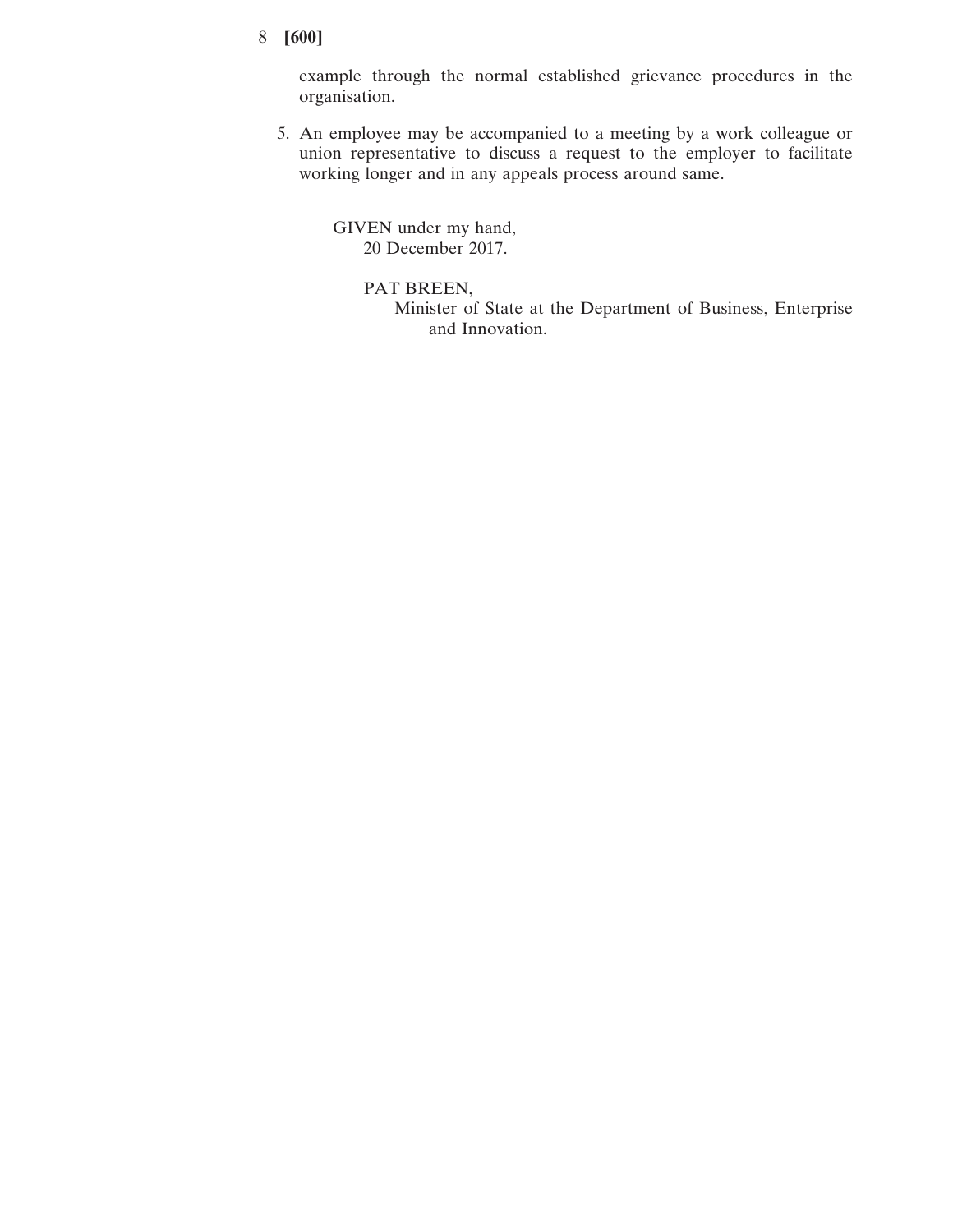example through the normal established grievance procedures in the organisation.

5. An employee may be accompanied to a meeting by a work colleague or union representative to discuss a request to the employer to facilitate working longer and in any appeals process around same.

GIVEN under my hand, 20 December 2017.

## PAT BREEN,

Minister of State at the Department of Business, Enterprise and Innovation.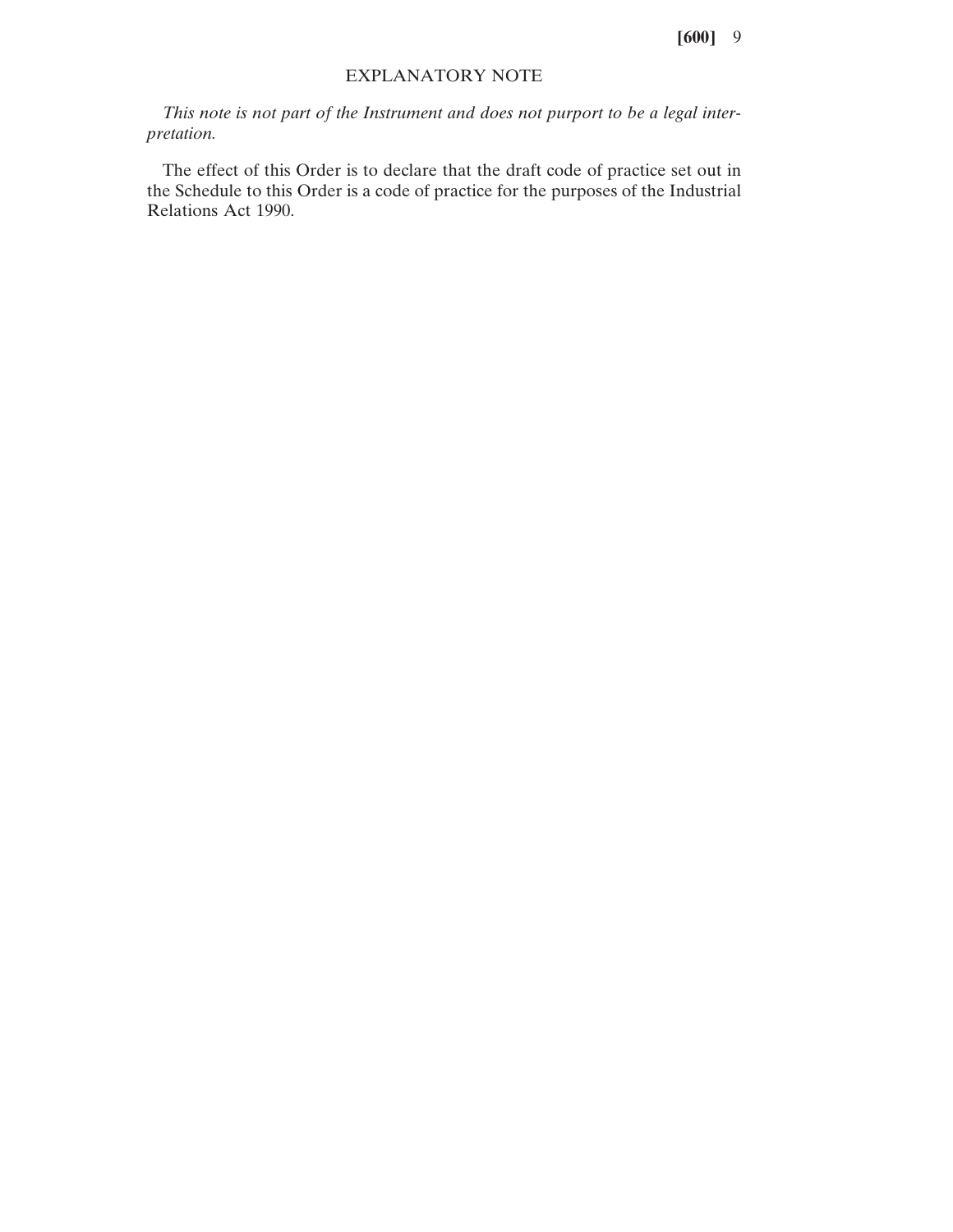## EXPLANATORY NOTE

*This note is not part of the Instrument and does not purport to be a legal interpretation.*

The effect of this Order is to declare that the draft code of practice set out in the Schedule to this Order is a code of practice for the purposes of the Industrial Relations Act 1990.